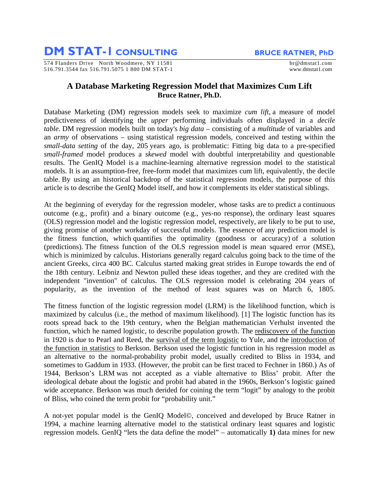## **DM STAT-1 CONSULTING** BRUCE RATNER, PhD

574 Flanders Drive North Woodmere, NY 11581 brand brand brand brand brand brand brand brand brand brand brand brand brand brand brand brand brand brand brand brand brand brand brand brand brand brand brand brand brand bran 516.791.3544 fax 516.791.5075 1 800 DM STAT-1 www.dmstat1.com

## **A Database Marketing Regression Model that Maximizes Cum Lift Bruce Ratner, Ph.D.**

Database Marketing (DM) regression models seek to maximize *cum lift*, a measure of model predictiveness of identifying the *upper* performing individuals often displayed in a *decile table*. DM regression models built on today's *big data* – consisting of a *multitude* of variables and an *army* of observations – using statistical regression models, conceived and testing within the *small-data setting* of the day, 205 years ago, is problematic: Fitting big data to a pre-specified *small-framed* model produces a *skewed* model with doubtful interpretability and questionable results. The GenIQ Model is a machine-learning alternative regression model to the statistical models. It is an assumption-free, free-form model that maximizes cum lift, equivalently, the decile table. By using an historical backdrop of the statistical regression models, the purpose of this article is to describe the GenIQ Model itself, and how it complements its elder statistical siblings.

At the beginning of everyday for the regression modeler, whose tasks are to predict a continuous outcome (e.g., profit) and a binary outcome (e.g., yes-no response), the ordinary least squares (OLS) regression model and the logistic regression model, respectively, are likely to be put to use, giving promise of another workday of successful models. The essence of any prediction model is the fitness function, which quantifies the optimality (goodness or accuracy) of a solution (predictions). The fitness function of the OLS regression model is mean squared error (MSE), which is minimized by calculus. Historians generally regard calculus going back to the time of the ancient Greeks, circa 400 BC. Calculus started making great strides in Europe towards the end of the 18th century. Leibniz and Newton pulled these ideas together, and they are credited with the independent "invention" of calculus. The OLS regression model is celebrating 204 years of popularity, as the invention of the method of least squares was on March 6, 1805.

The fitness function of the logistic regression model (LRM) is the likelihood function, which is maximized by calculus (i.e., the method of maximum likelihood). [1] The logistic function has its roots spread back to the 19th century, when the Belgian mathematician Verhulst invented the function, which he named logistic, to describe population growth. The rediscovery of the function in 1920 is due to Pearl and Reed, the survival of the term logistic to Yule, and the introduction of the function in statistics to Berkson. Berkson used the logistic function in his regression model as an alternative to the normal-probability probit model, usually credited to Bliss in 1934, and sometimes to Gaddum in 1933. (However, the probit can be first traced to Fechner in 1860.) As of 1944, Berkson's LRM was not accepted as a viable alternative to Bliss' probit. After the ideological debate about the logistic and probit had abated in the 1960s, Berkson's logistic gained wide acceptance. Berkson was much derided for coining the term "logit" by analogy to the probit of Bliss, who coined the term probit for "probability unit."

A not-yet popular model is the GenIQ Model©, conceived and developed by Bruce Ratner in 1994, a machine learning alternative model to the statistical ordinary least squares and logistic regression models. GenIQ "lets the data define the model" – automatically **1)** data mines for new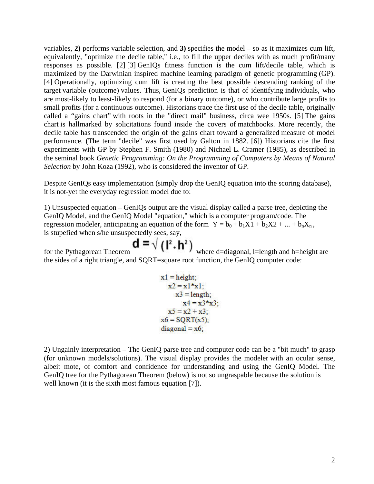variables, **2)** performs variable selection, and **3)** specifies the model – so as it maximizes cum lift, equivalently, "optimize the decile table," i.e., to fill the upper deciles with as much profit/many responses as possible. [2] [3] GenIQs fitness function is the cum lift/decile table, which is maximized by the Darwinian inspired machine learning paradigm of genetic programming (GP). [4] Operationally, optimizing cum lift is creating the best possible descending ranking of the target variable (outcome) values. Thus, GenIQs prediction is that of identifying individuals, who are most-likely to least-likely to respond (for a binary outcome), or who contribute large profits to small profits (for a continuous outcome). Historians trace the first use of the decile table, originally called a "gains chart" with roots in the "direct mail" business, circa wee 1950s. [5] The gains chart is hallmarked by solicitations found inside the covers of matchbooks. More recently, the decile table has transcended the origin of the gains chart toward a generalized measure of model performance. (The term "decile" was first used by Galton in 1882. [6]) Historians cite the first experiments with GP by Stephen F. Smith (1980) and Nichael L. Cramer (1985), as described in the seminal book *Genetic Programming: On the Programming of Computers by Means of Natural Selection* by John Koza (1992), who is considered the inventor of GP.

Despite GenIQs easy implementation (simply drop the GenIQ equation into the scoring database), it is not-yet the everyday regression model due to:

1) Unsuspected equation – GenIQs output are the visual display called a parse tree, depicting the GenIQ Model, and the GenIQ Model "equation," which is a computer program/code. The regression modeler, anticipating an equation of the form  $Y = b_0 + b_1X1 + b_2X2 + ... + b_nX_n$ , is stupefied when s/he unsuspectedly sees, say,

for the Pythagorean Theorem  $\mathbf{d} = \sqrt{(\mathbf{l}^2 + \mathbf{h}^2)}$  where d=diagonal, l=length and h=height are the sides of a right triangle, and SQRT=square root function, the GenIQ computer code:

$$
x1 = height;\nx2 = x1*x1;\nx3 = length;\nx4 = x3*x3;\nx5 = x2 + x3;\nx6 = SQRT(x5);\ndiagonal = x6;
$$

2) Ungainly interpretation – The GenIQ parse tree and computer code can be a "bit much" to grasp (for unknown models/solutions). The visual display provides the modeler with an ocular sense, albeit mote, of comfort and confidence for understanding and using the GenIQ Model. The GenIQ tree for the Pythagorean Theorem (below) is not so ungraspable because the solution is well known (it is the sixth most famous equation [7]).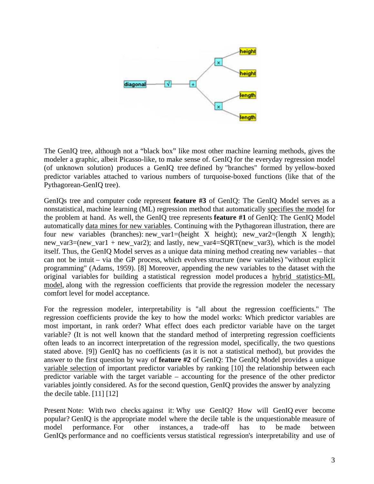

The GenIQ tree, although not a "black box" like most other machine learning methods, gives the modeler a graphic, albeit Picasso-like, to make sense of. GenIQ for the everyday regression model (of unknown solution) produces a GenIQ tree defined by "branches" formed by yellow-boxed predictor variables attached to various numbers of turquoise-boxed functions (like that of the Pythagorean-GenIQ tree).

GenIQs tree and computer code represent **feature #3** of GenIQ: The GenIQ Model serves as a nonstatistical, machine learning (ML) regression method that automatically specifies the model for the problem at hand. As well, the GenIQ tree represents **feature #1** of GenIQ: The GenIQ Model automatically data mines for new variables. Continuing with the Pythagorean illustration, there are four new variables (branches): new\_var1=(height X height); new\_var2=(length X length); new var3=(new var1 + new var2); and lastly, new var4=SQRT(new var3), which is the model itself. Thus, the GenIQ Model serves as a unique data mining method creating new variables – that can not be intuit – via the GP process, which evolves structure (new variables) "without explicit programming" (Adams, 1959). [8] Moreover, appending the new variables to the dataset with the original variables for building a statistical regression model produces a hybrid statistics-ML model, along with the regression coefficients that provide the regression modeler the necessary comfort level for model acceptance.

For the regression modeler, interpretability is "all about the regression coefficients." The regression coefficients provide the key to how the model works: Which predictor variables are most important, in rank order? What effect does each predictor variable have on the target variable? (It is not well known that the standard method of interpreting regression coefficients often leads to an incorrect interpretation of the regression model, specifically, the two questions stated above. [9]) GenIQ has no coefficients (as it is not a statistical method), but provides the answer to the first question by way of **feature #2** of GenIQ: The GenIQ Model provides a unique variable selection of important predictor variables by ranking [10] the relationship between each predictor variable with the target variable – accounting for the presence of the other predictor variables jointly considered. As for the second question, GenIQ provides the answer by analyzing the decile table.  $[11] [12]$ 

Present Note: With two checks against it: Why use GenIQ? How will GenIQ ever become popular? GenIQ is the appropriate model where the decile table is the unquestionable measure of model performance. For other instances, a trade-off has to be made between GenIQs performance and no coefficients versus statistical regression's interpretability and use of